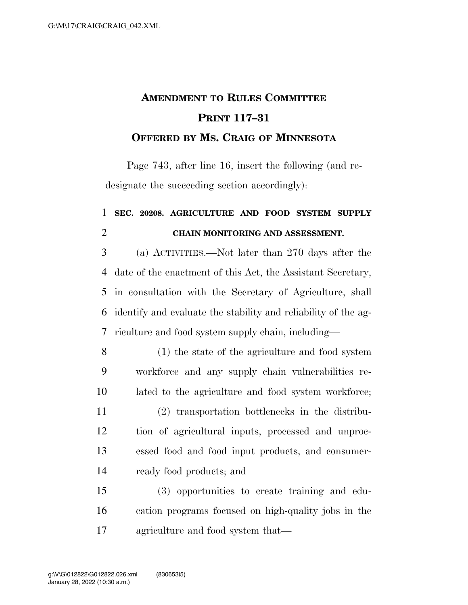## **AMENDMENT TO RULES COMMITTEE PRINT 117–31 OFFERED BY MS. CRAIG OF MINNESOTA**

Page 743, after line 16, insert the following (and redesignate the succeeding section accordingly):

## **SEC. 20208. AGRICULTURE AND FOOD SYSTEM SUPPLY CHAIN MONITORING AND ASSESSMENT.**

 (a) ACTIVITIES.—Not later than 270 days after the date of the enactment of this Act, the Assistant Secretary, in consultation with the Secretary of Agriculture, shall identify and evaluate the stability and reliability of the ag-riculture and food system supply chain, including—

 (1) the state of the agriculture and food system workforce and any supply chain vulnerabilities re- lated to the agriculture and food system workforce; (2) transportation bottlenecks in the distribu- tion of agricultural inputs, processed and unproc- essed food and food input products, and consumer-ready food products; and

 (3) opportunities to create training and edu- cation programs focused on high-quality jobs in the agriculture and food system that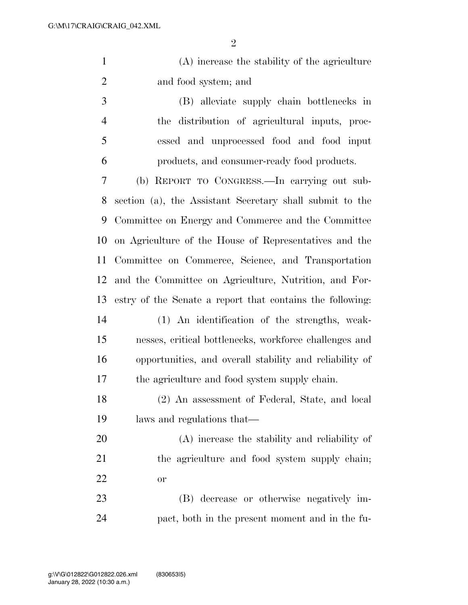| (A) increase the stability of the agriculture |
|-----------------------------------------------|
| and food system; and                          |

 (B) alleviate supply chain bottlenecks in the distribution of agricultural inputs, proc- essed and unprocessed food and food input products, and consumer-ready food products.

 (b) REPORT TO CONGRESS.—In carrying out sub- section (a), the Assistant Secretary shall submit to the Committee on Energy and Commerce and the Committee on Agriculture of the House of Representatives and the Committee on Commerce, Science, and Transportation and the Committee on Agriculture, Nutrition, and For- estry of the Senate a report that contains the following: (1) An identification of the strengths, weak-

- nesses, critical bottlenecks, workforce challenges and opportunities, and overall stability and reliability of the agriculture and food system supply chain.
- (2) An assessment of Federal, State, and local laws and regulations that—

 (A) increase the stability and reliability of the agriculture and food system supply chain; or

 (B) decrease or otherwise negatively im-pact, both in the present moment and in the fu